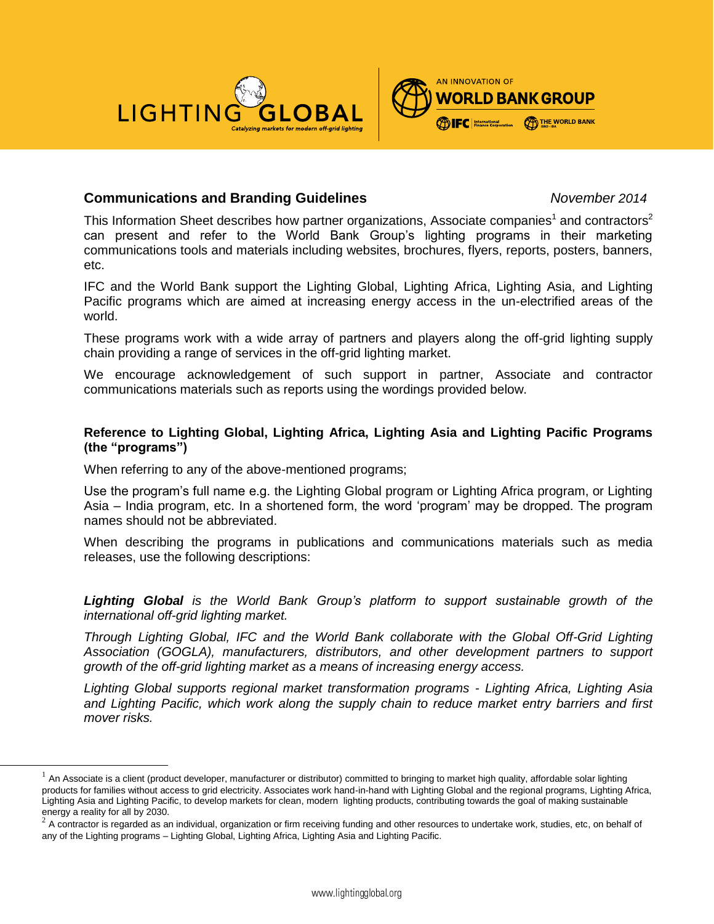



# **Communications and Branding Guidelines** *November 2014*

This Information Sheet describes how partner organizations, Associate companies<sup>1</sup> and contractors<sup>2</sup> can present and refer to the World Bank Group's lighting programs in their marketing communications tools and materials including websites, brochures, flyers, reports, posters, banners, etc.

IFC and the World Bank support the Lighting Global, Lighting Africa, Lighting Asia, and Lighting Pacific programs which are aimed at increasing energy access in the un-electrified areas of the world.

These programs work with a wide array of partners and players along the off-grid lighting supply chain providing a range of services in the off-grid lighting market.

We encourage acknowledgement of such support in partner, Associate and contractor communications materials such as reports using the wordings provided below.

# **Reference to Lighting Global, Lighting Africa, Lighting Asia and Lighting Pacific Programs (the "programs")**

When referring to any of the above-mentioned programs;

l

Use the program's full name e.g. the Lighting Global program or Lighting Africa program, or Lighting Asia – India program, etc. In a shortened form, the word 'program' may be dropped. The program names should not be abbreviated.

When describing the programs in publications and communications materials such as media releases, use the following descriptions:

*Lighting Global is the World Bank Group's platform to support sustainable growth of the international off-grid lighting market.* 

*Through Lighting Global, IFC and the World Bank collaborate with the Global Off-Grid Lighting Association (GOGLA), manufacturers, distributors, and other development partners to support growth of the off-grid lighting market as a means of increasing energy access.* 

*Lighting Global supports regional market transformation programs - Lighting Africa, Lighting Asia and Lighting Pacific, which work along the supply chain to reduce market entry barriers and first mover risks.*

 $<sup>1</sup>$  An Associate is a client (product developer, manufacturer or distributor) committed to bringing to market high quality, affordable solar lighting</sup> products for families without access to grid electricity. Associates work hand-in-hand with Lighting Global and the regional programs, Lighting Africa, Lighting Asia and Lighting Pacific, to develop markets for clean, modern lighting products, contributing towards the goal of making sustainable energy a reality for all by 2030.

 $^2$  A contractor is regarded as an individual, organization or firm receiving funding and other resources to undertake work, studies, etc, on behalf of any of the Lighting programs – Lighting Global, Lighting Africa, Lighting Asia and Lighting Pacific.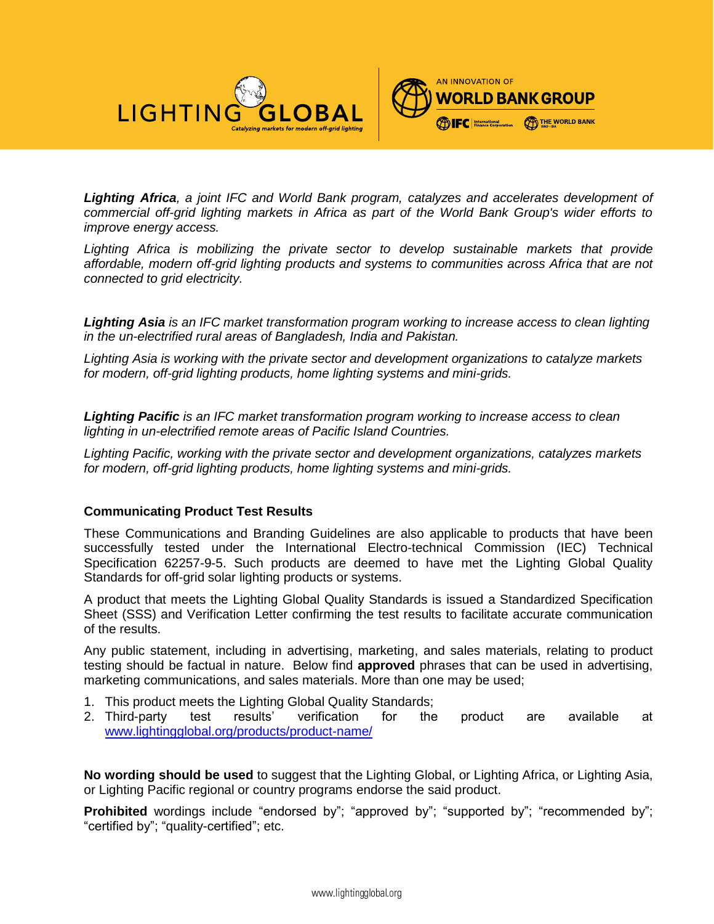



*Lighting Africa, a joint IFC and World Bank program, catalyzes and accelerates development of commercial off-grid lighting markets in Africa as part of the World Bank Group's wider efforts to improve energy access.* 

Lighting Africa is mobilizing the private sector to develop sustainable markets that provide *affordable, modern off-grid lighting products and systems to communities across Africa that are not connected to grid electricity.* 

*Lighting Asia is an IFC market transformation program working to increase access to clean lighting in the un-electrified rural areas of Bangladesh, India and Pakistan.* 

*Lighting Asia is working with the private sector and development organizations to catalyze markets for modern, off-grid lighting products, home lighting systems and mini-grids.* 

*Lighting Pacific is an IFC market transformation program working to increase access to clean lighting in un-electrified remote areas of Pacific Island Countries.* 

*Lighting Pacific, working with the private sector and development organizations, catalyzes markets for modern, off-grid lighting products, home lighting systems and mini-grids.*

#### **Communicating Product Test Results**

These Communications and Branding Guidelines are also applicable to products that have been successfully tested under the International Electro-technical Commission (IEC) Technical Specification 62257-9-5. Such products are deemed to have met the Lighting Global Quality Standards for off-grid solar lighting products or systems.

A product that meets the Lighting Global Quality Standards is issued a Standardized Specification Sheet (SSS) and Verification Letter confirming the test results to facilitate accurate communication of the results.

Any public statement, including in advertising, marketing, and sales materials, relating to product testing should be factual in nature. Below find **approved** phrases that can be used in advertising, marketing communications, and sales materials. More than one may be used;

- 1. This product meets the Lighting Global Quality Standards;
- 2. Third-party test results' verification for the product are available at [www.lightingglobal.org/products/product-name/](http://www.lightingglobal.org/products/product-name/)

**No wording should be used** to suggest that the Lighting Global, or Lighting Africa, or Lighting Asia, or Lighting Pacific regional or country programs endorse the said product.

**Prohibited** wordings include "endorsed by"; "approved by"; "supported by"; "recommended by"; "certified by"; "quality-certified"; etc.